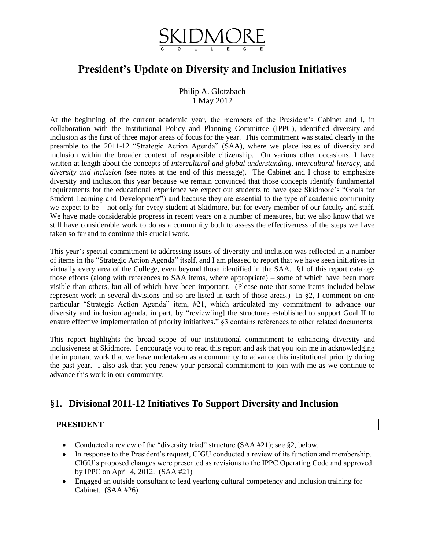

# **President's Update on Diversity and Inclusion Initiatives**

Philip A. Glotzbach 1 May 2012

At the beginning of the current academic year, the members of the President's Cabinet and I, in collaboration with the Institutional Policy and Planning Committee (IPPC), identified diversity and inclusion as the first of three major areas of focus for the year. This commitment was stated clearly in the preamble to the 2011-12 "Strategic Action Agenda" (SAA), where we place issues of diversity and inclusion within the broader context of responsible citizenship. On various other occasions, I have written at length about the concepts of *intercultural and global understanding*, *intercultural literacy*, and *diversity and inclusion* (see notes at the end of this message). The Cabinet and I chose to emphasize diversity and inclusion this year because we remain convinced that those concepts identify fundamental requirements for the educational experience we expect our students to have (see Skidmore's "Goals for Student Learning and Development") and because they are essential to the type of academic community we expect to be – not only for every student at Skidmore, but for every member of our faculty and staff. We have made considerable progress in recent years on a number of measures, but we also know that we still have considerable work to do as a community both to assess the effectiveness of the steps we have taken so far and to continue this crucial work.

This year's special commitment to addressing issues of diversity and inclusion was reflected in a number of items in the "Strategic Action Agenda" itself, and I am pleased to report that we have seen initiatives in virtually every area of the College, even beyond those identified in the SAA. §1 of this report catalogs those efforts (along with references to SAA items, where appropriate) – some of which have been more visible than others, but all of which have been important. (Please note that some items included below represent work in several divisions and so are listed in each of those areas.) In §2, I comment on one particular "Strategic Action Agenda" item, #21, which articulated my commitment to advance our diversity and inclusion agenda, in part, by "review[ing] the structures established to support Goal II to ensure effective implementation of priority initiatives." §3 contains references to other related documents.

This report highlights the broad scope of our institutional commitment to enhancing diversity and inclusiveness at Skidmore. I encourage you to read this report and ask that you join me in acknowledging the important work that we have undertaken as a community to advance this institutional priority during the past year. I also ask that you renew your personal commitment to join with me as we continue to advance this work in our community.

# **§1. Divisional 2011-12 Initiatives To Support Diversity and Inclusion**

## **PRESIDENT**

- Conducted a review of the "diversity triad" structure (SAA #21); see §2, below.
- In response to the President's request, CIGU conducted a review of its function and membership. CIGU's proposed changes were presented as revisions to the IPPC Operating Code and approved by IPPC on April 4, 2012. (SAA #21)
- Engaged an outside consultant to lead yearlong cultural competency and inclusion training for Cabinet. (SAA #26)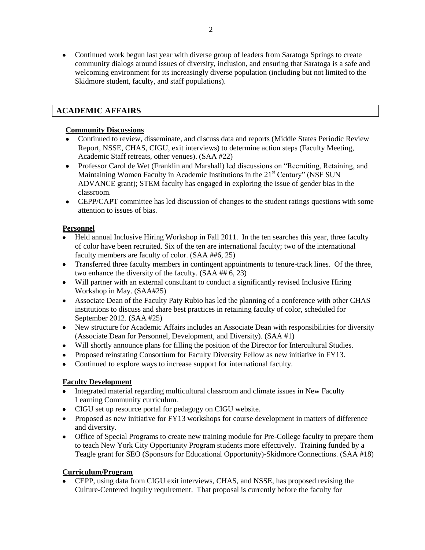Continued work begun last year with diverse group of leaders from Saratoga Springs to create community dialogs around issues of diversity, inclusion, and ensuring that Saratoga is a safe and welcoming environment for its increasingly diverse population (including but not limited to the Skidmore student, faculty, and staff populations).

# **ACADEMIC AFFAIRS**

#### **Community Discussions**

- Continued to review, disseminate, and discuss data and reports (Middle States Periodic Review Report, NSSE, CHAS, CIGU, exit interviews) to determine action steps (Faculty Meeting, Academic Staff retreats, other venues). (SAA #22)
- Professor Carol de Wet (Franklin and Marshall) led discussions on "Recruiting, Retaining, and Maintaining Women Faculty in Academic Institutions in the 21<sup>st</sup> Century" (NSF SUN ADVANCE grant); STEM faculty has engaged in exploring the issue of gender bias in the classroom.
- CEPP/CAPT committee has led discussion of changes to the student ratings questions with some attention to issues of bias.

#### **Personnel**

- Held annual Inclusive Hiring Workshop in Fall 2011. In the ten searches this year, three faculty of color have been recruited. Six of the ten are international faculty; two of the international faculty members are faculty of color. (SAA ##6, 25)
- Transferred three faculty members in contingent appointments to tenure-track lines. Of the three, two enhance the diversity of the faculty. (SAA ## 6, 23)
- Will partner with an external consultant to conduct a significantly revised Inclusive Hiring Workshop in May. (SAA#25)
- Associate Dean of the Faculty Paty Rubio has led the planning of a conference with other CHAS institutions to discuss and share best practices in retaining faculty of color, scheduled for September 2012. (SAA #25)
- New structure for Academic Affairs includes an Associate Dean with responsibilities for diversity (Associate Dean for Personnel, Development, and Diversity). (SAA #1)
- Will shortly announce plans for filling the position of the Director for Intercultural Studies.
- Proposed reinstating Consortium for Faculty Diversity Fellow as new initiative in FY13.
- Continued to explore ways to increase support for international faculty.

## **Faculty Development**

- Integrated material regarding multicultural classroom and climate issues in New Faculty  $\bullet$ Learning Community curriculum.
- CIGU set up resource portal for pedagogy on CIGU website.
- Proposed as new initiative for FY13 workshops for course development in matters of difference and diversity.
- Office of Special Programs to create new training module for Pre-College faculty to prepare them to teach New York City Opportunity Program students more effectively. Training funded by a Teagle grant for SEO (Sponsors for Educational Opportunity)-Skidmore Connections. (SAA #18)

## **Curriculum/Program**

CEPP, using data from CIGU exit interviews, CHAS, and NSSE, has proposed revising the Culture-Centered Inquiry requirement. That proposal is currently before the faculty for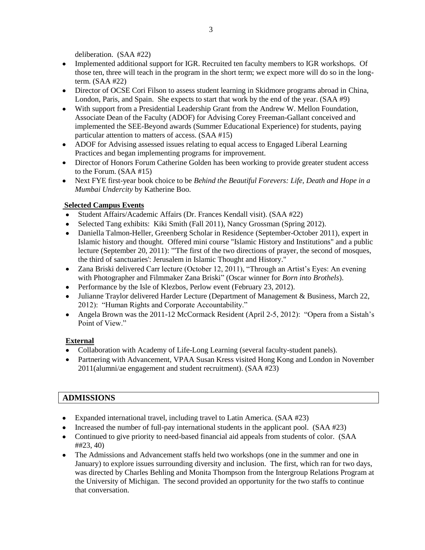deliberation. (SAA #22)

- Implemented additional support for IGR. Recruited ten faculty members to IGR workshops. Of those ten, three will teach in the program in the short term; we expect more will do so in the longterm. (SAA #22)
- Director of OCSE Cori Filson to assess student learning in Skidmore programs abroad in China, London, Paris, and Spain. She expects to start that work by the end of the year. (SAA #9)
- With support from a Presidential Leadership Grant from the Andrew W. Mellon Foundation, Associate Dean of the Faculty (ADOF) for Advising Corey Freeman-Gallant conceived and implemented the SEE-Beyond awards (Summer Educational Experience) for students, paying particular attention to matters of access. (SAA #15)
- ADOF for Advising assessed issues relating to equal access to Engaged Liberal Learning  $\bullet$ Practices and began implementing programs for improvement.
- Director of Honors Forum Catherine Golden has been working to provide greater student access to the Forum. (SAA #15)
- Next FYE first-year book choice to be *Behind the Beautiful Forevers: Life, Death and Hope in a Mumbai Undercity* by Katherine Boo.

# **Selected Campus Events**

- Student Affairs/Academic Affairs (Dr. Frances Kendall visit). (SAA #22)
- Selected Tang exhibits: Kiki Smith (Fall 2011), Nancy Grossman (Spring 2012).  $\bullet$
- $\bullet$ Daniella Talmon-Heller, Greenberg Scholar in Residence (September-October 2011), expert in Islamic history and thought. Offered mini course "Islamic History and Institutions" and a public lecture (September 20, 2011): "'The first of the two directions of prayer, the second of mosques, the third of sanctuaries': Jerusalem in Islamic Thought and History."
- Zana Briski delivered Carr lecture (October 12, 2011), "Through an Artist's Eyes: An evening  $\bullet$ with Photographer and Filmmaker Zana Briski" (Oscar winner for *Born into Brothels*).
- Performance by the Isle of Klezbos, Perlow event (February 23, 2012).
- $\bullet$ Julianne Traylor delivered Harder Lecture (Department of Management & Business, March 22, 2012): "Human Rights and Corporate Accountability."
- Angela Brown was the 2011-12 McCormack Resident (April 2-5, 2012): "Opera from a Sistah's Point of View."

## **External**

- Collaboration with Academy of Life-Long Learning (several faculty-student panels).
- Partnering with Advancement, VPAA Susan Kress visited Hong Kong and London in November 2011(alumni/ae engagement and student recruitment). (SAA #23)

# **ADMISSIONS**

- Expanded international travel, including travel to Latin America. (SAA #23)
- Increased the number of full-pay international students in the applicant pool.  $(SAA \#23)$
- Continued to give priority to need-based financial aid appeals from students of color. (SAA ##23, 40)
- The Admissions and Advancement staffs held two workshops (one in the summer and one in January) to explore issues surrounding diversity and inclusion. The first, which ran for two days, was directed by Charles Behling and Monita Thompson from the Intergroup Relations Program at the University of Michigan. The second provided an opportunity for the two staffs to continue that conversation.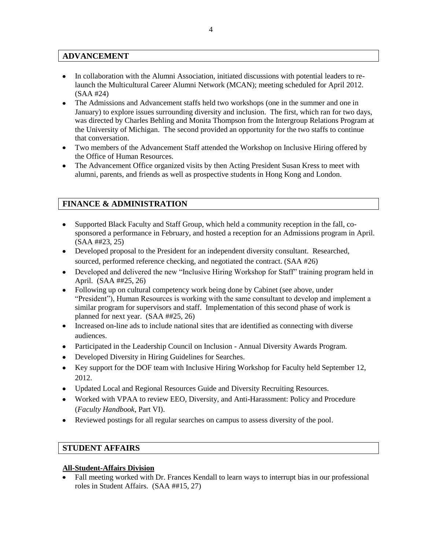# **ADVANCEMENT**

- In collaboration with the Alumni Association, initiated discussions with potential leaders to relaunch the Multicultural Career Alumni Network (MCAN); meeting scheduled for April 2012. (SAA #24)
- The Admissions and Advancement staffs held two workshops (one in the summer and one in January) to explore issues surrounding diversity and inclusion. The first, which ran for two days, was directed by Charles Behling and Monita Thompson from the Intergroup Relations Program at the University of Michigan. The second provided an opportunity for the two staffs to continue that conversation.
- Two members of the Advancement Staff attended the Workshop on Inclusive Hiring offered by the Office of Human Resources.
- The Advancement Office organized visits by then Acting President Susan Kress to meet with alumni, parents, and friends as well as prospective students in Hong Kong and London.

# **FINANCE & ADMINISTRATION**

- Supported Black Faculty and Staff Group, which held a community reception in the fall, cosponsored a performance in February, and hosted a reception for an Admissions program in April. (SAA ##23, 25)
- Developed proposal to the President for an independent diversity consultant. Researched, sourced, performed reference checking, and negotiated the contract. (SAA #26)
- Developed and delivered the new "Inclusive Hiring Workshop for Staff" training program held in April. (SAA ##25, 26)
- Following up on cultural competency work being done by Cabinet (see above, under "President"), Human Resources is working with the same consultant to develop and implement a similar program for supervisors and staff. Implementation of this second phase of work is planned for next year. (SAA ##25, 26)
- Increased on-line ads to include national sites that are identified as connecting with diverse audiences.
- Participated in the Leadership Council on Inclusion Annual Diversity Awards Program.
- Developed Diversity in Hiring Guidelines for Searches.
- Key support for the DOF team with Inclusive Hiring Workshop for Faculty held September 12, 2012.
- Updated Local and Regional Resources Guide and Diversity Recruiting Resources.
- Worked with VPAA to review EEO, Diversity, and Anti-Harassment: Policy and Procedure (*Faculty Handbook*, Part VI).
- Reviewed postings for all regular searches on campus to assess diversity of the pool.

## **STUDENT AFFAIRS**

#### **All-Student-Affairs Division**

Fall meeting worked with Dr. Frances Kendall to learn ways to interrupt bias in our professional roles in Student Affairs. (SAA ##15, 27)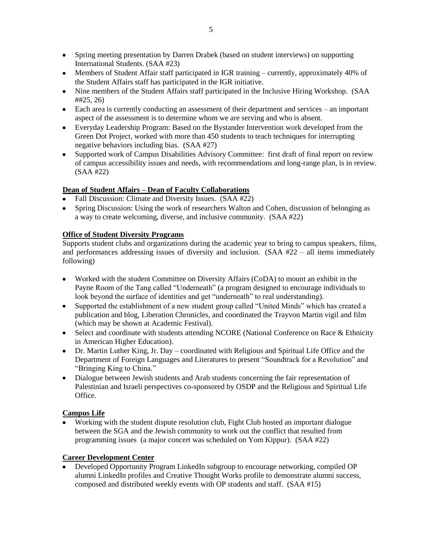- Spring meeting presentation by Darren Drabek (based on student interviews) on supporting International Students. (SAA #23)
- Members of Student Affair staff participated in IGR training currently, approximately 40% of the Student Affairs staff has participated in the IGR initiative.
- Nine members of the Student Affairs staff participated in the Inclusive Hiring Workshop. (SAA ##25, 26)
- Each area is currently conducting an assessment of their department and services an important aspect of the assessment is to determine whom we are serving and who is absent.
- Everyday Leadership Program: Based on the Bystander Intervention work developed from the Green Dot Project, worked with more than 450 students to teach techniques for interrupting negative behaviors including bias. (SAA #27)
- Supported work of Campus Disabilities Advisory Committee: first draft of final report on review  $\bullet$ of campus accessibility issues and needs, with recommendations and long-range plan, is in review. (SAA #22)

# **Dean of Student Affairs – Dean of Faculty Collaborations**

- Fall Discussion: Climate and Diversity Issues. (SAA #22)
- Spring Discussion: Using the work of researchers Walton and Cohen, discussion of belonging as a way to create welcoming, diverse, and inclusive community. (SAA #22)

## **Office of Student Diversity Programs**

Supports student clubs and organizations during the academic year to bring to campus speakers, films, and performances addressing issues of diversity and inclusion. (SAA #22 – all items immediately following)

- Worked with the student Committee on Diversity Affairs (CoDA) to mount an exhibit in the Payne Room of the Tang called "Underneath" (a program designed to encourage individuals to look beyond the surface of identities and get "underneath" to real understanding).
- Supported the establishment of a new student group called "United Minds" which has created a  $\bullet$ publication and blog, Liberation Chronicles, and coordinated the Trayvon Martin vigil and film (which may be shown at Academic Festival).
- Select and coordinate with students attending NCORE (National Conference on Race & Ethnicity in American Higher Education).
- Dr. Martin Luther King, Jr. Day coordinated with Religious and Spiritual Life Office and the Department of Foreign Languages and Literatures to present "Soundtrack for a Revolution" and "Bringing King to China."
- Dialogue between Jewish students and Arab students concerning the fair representation of Palestinian and Israeli perspectives co-sponsored by OSDP and the Religious and Spiritual Life Office.

## **Campus Life**

Working with the student dispute resolution club, Fight Club hosted an important dialogue between the SGA and the Jewish community to work out the conflict that resulted from programming issues (a major concert was scheduled on Yom Kippur). (SAA #22)

## **Career Development Center**

Developed Opportunity Program LinkedIn subgroup to encourage networking, compiled OP alumni LinkedIn profiles and Creative Thought Works profile to demonstrate alumni success, composed and distributed weekly events with OP students and staff. (SAA #15)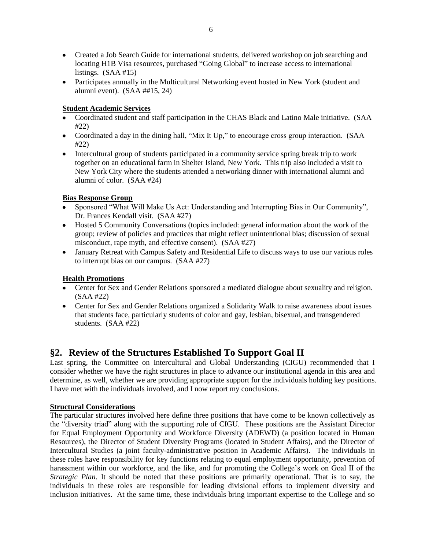- Created a Job Search Guide for international students, delivered workshop on job searching and locating H1B Visa resources, purchased "Going Global" to increase access to international listings. (SAA #15)
- Participates annually in the Multicultural Networking event hosted in New York (student and alumni event). (SAA ##15, 24)

# **Student Academic Services**

- Coordinated student and staff participation in the CHAS Black and Latino Male initiative. (SAA #22)
- Coordinated a day in the dining hall, "Mix It Up," to encourage cross group interaction. (SAA #22)
- Intercultural group of students participated in a community service spring break trip to work together on an educational farm in Shelter Island, New York. This trip also included a visit to New York City where the students attended a networking dinner with international alumni and alumni of color. (SAA #24)

#### **Bias Response Group**

- Sponsored "What Will Make Us Act: Understanding and Interrupting Bias in Our Community", Dr. Frances Kendall visit. (SAA #27)
- Hosted 5 Community Conversations (topics included: general information about the work of the group; review of policies and practices that might reflect unintentional bias; discussion of sexual misconduct, rape myth, and effective consent). (SAA #27)
- January Retreat with Campus Safety and Residential Life to discuss ways to use our various roles to interrupt bias on our campus. (SAA #27)

## **Health Promotions**

- Center for Sex and Gender Relations sponsored a mediated dialogue about sexuality and religion. (SAA #22)
- Center for Sex and Gender Relations organized a Solidarity Walk to raise awareness about issues that students face, particularly students of color and gay, lesbian, bisexual, and transgendered students. (SAA #22)

# **§2. Review of the Structures Established To Support Goal II**

Last spring, the Committee on Intercultural and Global Understanding (CIGU) recommended that I consider whether we have the right structures in place to advance our institutional agenda in this area and determine, as well, whether we are providing appropriate support for the individuals holding key positions. I have met with the individuals involved, and I now report my conclusions.

## **Structural Considerations**

The particular structures involved here define three positions that have come to be known collectively as the "diversity triad" along with the supporting role of CIGU. These positions are the Assistant Director for Equal Employment Opportunity and Workforce Diversity (ADEWD) (a position located in Human Resources), the Director of Student Diversity Programs (located in Student Affairs), and the Director of Intercultural Studies (a joint faculty-administrative position in Academic Affairs). The individuals in these roles have responsibility for key functions relating to equal employment opportunity, prevention of harassment within our workforce, and the like, and for promoting the College's work on Goal II of the *Strategic Plan*. It should be noted that these positions are primarily operational. That is to say, the individuals in these roles are responsible for leading divisional efforts to implement diversity and inclusion initiatives. At the same time, these individuals bring important expertise to the College and so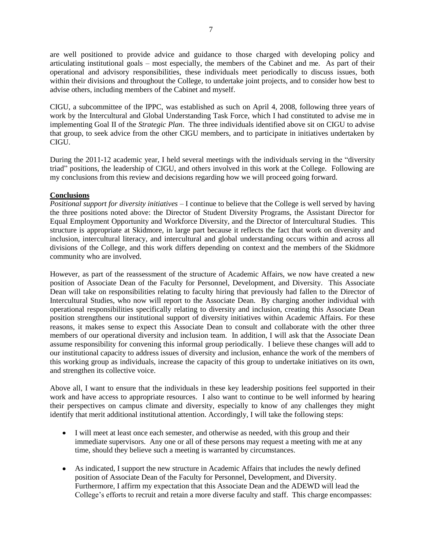are well positioned to provide advice and guidance to those charged with developing policy and articulating institutional goals – most especially, the members of the Cabinet and me. As part of their operational and advisory responsibilities, these individuals meet periodically to discuss issues, both within their divisions and throughout the College, to undertake joint projects, and to consider how best to advise others, including members of the Cabinet and myself.

CIGU, a subcommittee of the IPPC, was established as such on April 4, 2008, following three years of work by the Intercultural and Global Understanding Task Force, which I had constituted to advise me in implementing Goal II of the *Strategic Plan*. The three individuals identified above sit on CIGU to advise that group, to seek advice from the other CIGU members, and to participate in initiatives undertaken by CIGU.

During the 2011-12 academic year, I held several meetings with the individuals serving in the "diversity triad" positions, the leadership of CIGU, and others involved in this work at the College. Following are my conclusions from this review and decisions regarding how we will proceed going forward.

#### **Conclusions**

*Positional support for diversity initiatives* – I continue to believe that the College is well served by having the three positions noted above: the Director of Student Diversity Programs, the Assistant Director for Equal Employment Opportunity and Workforce Diversity, and the Director of Intercultural Studies. This structure is appropriate at Skidmore, in large part because it reflects the fact that work on diversity and inclusion, intercultural literacy, and intercultural and global understanding occurs within and across all divisions of the College, and this work differs depending on context and the members of the Skidmore community who are involved.

However, as part of the reassessment of the structure of Academic Affairs, we now have created a new position of Associate Dean of the Faculty for Personnel, Development, and Diversity. This Associate Dean will take on responsibilities relating to faculty hiring that previously had fallen to the Director of Intercultural Studies, who now will report to the Associate Dean. By charging another individual with operational responsibilities specifically relating to diversity and inclusion, creating this Associate Dean position strengthens our institutional support of diversity initiatives within Academic Affairs. For these reasons, it makes sense to expect this Associate Dean to consult and collaborate with the other three members of our operational diversity and inclusion team. In addition, I will ask that the Associate Dean assume responsibility for convening this informal group periodically. I believe these changes will add to our institutional capacity to address issues of diversity and inclusion, enhance the work of the members of this working group as individuals, increase the capacity of this group to undertake initiatives on its own, and strengthen its collective voice.

Above all, I want to ensure that the individuals in these key leadership positions feel supported in their work and have access to appropriate resources. I also want to continue to be well informed by hearing their perspectives on campus climate and diversity, especially to know of any challenges they might identify that merit additional institutional attention. Accordingly, I will take the following steps:

- I will meet at least once each semester, and otherwise as needed, with this group and their immediate supervisors. Any one or all of these persons may request a meeting with me at any time, should they believe such a meeting is warranted by circumstances.
- As indicated, I support the new structure in Academic Affairs that includes the newly defined position of Associate Dean of the Faculty for Personnel, Development, and Diversity. Furthermore, I affirm my expectation that this Associate Dean and the ADEWD will lead the College's efforts to recruit and retain a more diverse faculty and staff. This charge encompasses: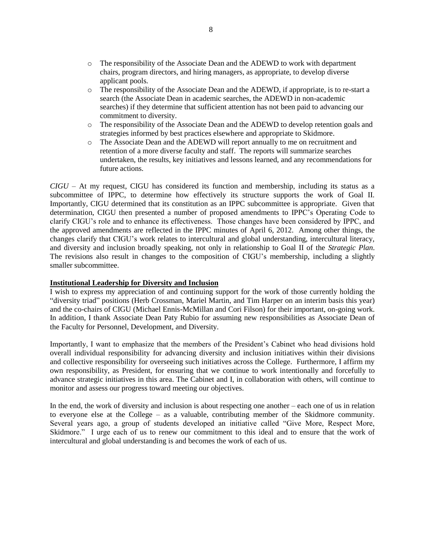- o The responsibility of the Associate Dean and the ADEWD to work with department chairs, program directors, and hiring managers, as appropriate, to develop diverse applicant pools.
- o The responsibility of the Associate Dean and the ADEWD, if appropriate, is to re-start a search (the Associate Dean in academic searches, the ADEWD in non-academic searches) if they determine that sufficient attention has not been paid to advancing our commitment to diversity.
- o The responsibility of the Associate Dean and the ADEWD to develop retention goals and strategies informed by best practices elsewhere and appropriate to Skidmore.
- o The Associate Dean and the ADEWD will report annually to me on recruitment and retention of a more diverse faculty and staff. The reports will summarize searches undertaken, the results, key initiatives and lessons learned, and any recommendations for future actions.

*CIGU* – At my request, CIGU has considered its function and membership, including its status as a subcommittee of IPPC, to determine how effectively its structure supports the work of Goal II. Importantly, CIGU determined that its constitution as an IPPC subcommittee is appropriate. Given that determination, CIGU then presented a number of proposed amendments to IPPC's Operating Code to clarify CIGU's role and to enhance its effectiveness. Those changes have been considered by IPPC, and the approved amendments are reflected in the IPPC minutes of April 6, 2012. Among other things, the changes clarify that CIGU's work relates to intercultural and global understanding, intercultural literacy, and diversity and inclusion broadly speaking, not only in relationship to Goal II of the *Strategic Plan*. The revisions also result in changes to the composition of CIGU's membership, including a slightly smaller subcommittee.

#### **Institutional Leadership for Diversity and Inclusion**

I wish to express my appreciation of and continuing support for the work of those currently holding the "diversity triad" positions (Herb Crossman, Mariel Martin, and Tim Harper on an interim basis this year) and the co-chairs of CIGU (Michael Ennis-McMillan and Cori Filson) for their important, on-going work. In addition, I thank Associate Dean Paty Rubio for assuming new responsibilities as Associate Dean of the Faculty for Personnel, Development, and Diversity.

Importantly, I want to emphasize that the members of the President's Cabinet who head divisions hold overall individual responsibility for advancing diversity and inclusion initiatives within their divisions and collective responsibility for overseeing such initiatives across the College. Furthermore, I affirm my own responsibility, as President, for ensuring that we continue to work intentionally and forcefully to advance strategic initiatives in this area. The Cabinet and I, in collaboration with others, will continue to monitor and assess our progress toward meeting our objectives.

In the end, the work of diversity and inclusion is about respecting one another – each one of us in relation to everyone else at the College – as a valuable, contributing member of the Skidmore community. Several years ago, a group of students developed an initiative called "Give More, Respect More, Skidmore." I urge each of us to renew our commitment to this ideal and to ensure that the work of intercultural and global understanding is and becomes the work of each of us.